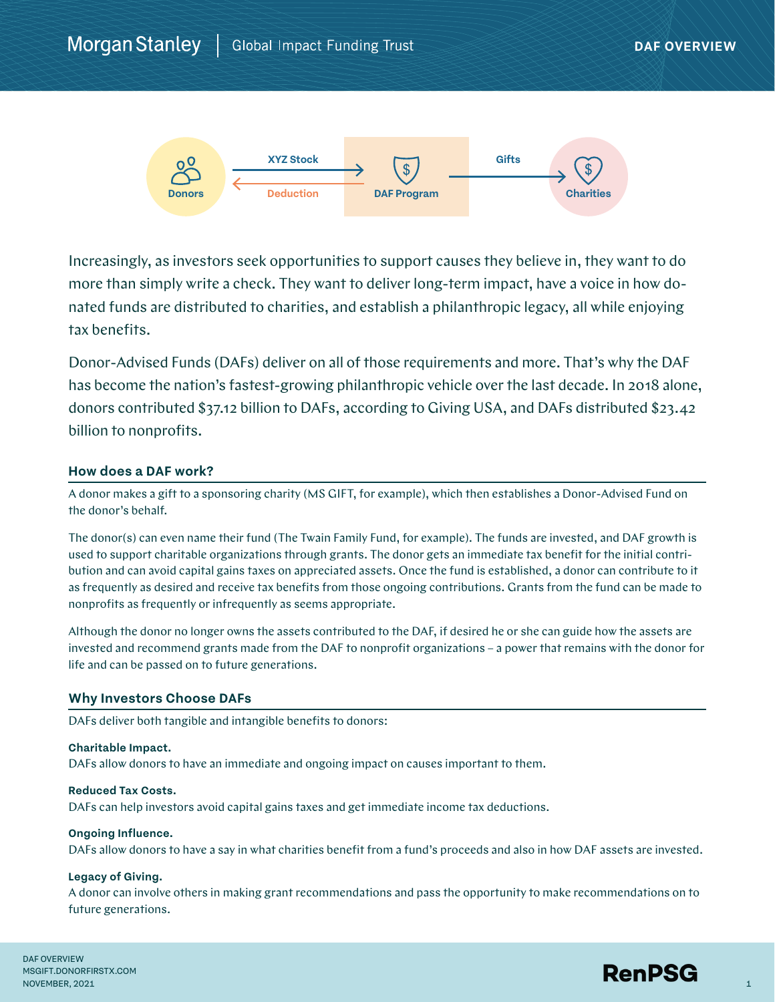

Increasingly, as investors seek opportunities to support causes they believe in, they want to do more than simply write a check. They want to deliver long-term impact, have a voice in how donated funds are distributed to charities, and establish a philanthropic legacy, all while enjoying tax benefits.

Donor-Advised Funds (DAFs) deliver on all of those requirements and more. That's why the DAF has become the nation's fastest-growing philanthropic vehicle over the last decade. In 2018 alone, donors contributed \$37.12 billion to DAFs, according to Giving USA, and DAFs distributed \$23.42 billion to nonprofits.

# **How does a DAF work?**

A donor makes a gift to a sponsoring charity (MS GIFT, for example), which then establishes a Donor-Advised Fund on the donor's behalf.

The donor(s) can even name their fund (The Twain Family Fund, for example). The funds are invested, and DAF growth is used to support charitable organizations through grants. The donor gets an immediate tax benefit for the initial contribution and can avoid capital gains taxes on appreciated assets. Once the fund is established, a donor can contribute to it as frequently as desired and receive tax benefits from those ongoing contributions. Grants from the fund can be made to nonprofits as frequently or infrequently as seems appropriate.

Although the donor no longer owns the assets contributed to the DAF, if desired he or she can guide how the assets are invested and recommend grants made from the DAF to nonprofit organizations – a power that remains with the donor for life and can be passed on to future generations.

## **Why Investors Choose DAFs**

DAFs deliver both tangible and intangible benefits to donors:

## **Charitable Impact.**

DAFs allow donors to have an immediate and ongoing impact on causes important to them.

## **Reduced Tax Costs.**

DAFs can help investors avoid capital gains taxes and get immediate income tax deductions.

## **Ongoing Influence.**

DAFs allow donors to have a say in what charities benefit from a fund's proceeds and also in how DAF assets are invested.

## **Legacy of Giving.**

A donor can involve others in making grant recommendations and pass the opportunity to make recommendations on to future generations.

DAF OVERVIEW MSGIFT.DONORFIRSTX.COM